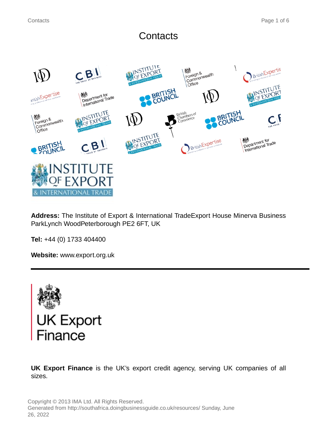# **Contacts**



**Address:** The Institute of Export & International TradeExport House Minerva Business ParkLynch WoodPeterborough PE2 6FT, UK

**Tel:** +44 (0) 1733 404400

**Website:** www.export.org.uk



**UK Export Finance** is the UK's export credit agency, serving UK companies of all sizes.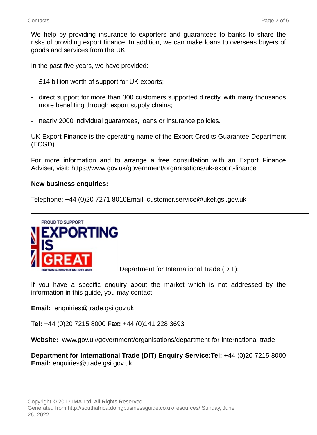We help by providing insurance to exporters and quarantees to banks to share the risks of providing export finance. In addition, we can make loans to overseas buyers of goods and services from the UK.

In the past five years, we have provided:

- £14 billion worth of support for UK exports;
- direct support for more than 300 customers supported directly, with many thousands more benefiting through export supply chains;
- nearly 2000 individual guarantees, loans or insurance policies.

UK Export Finance is the operating name of the Export Credits Guarantee Department (ECGD).

For more information and to arrange a free consultation with an Export Finance Adviser, visit: https://www.gov.uk/government/organisations/uk-export-finance

#### **New business enquiries:**

Telephone: +44 (0)20 7271 8010Email: customer.service@ukef.gsi.gov.uk



Department for International Trade (DIT):

If you have a specific enquiry about the market which is not addressed by the information in this guide, you may contact:

**Email:** enquiries@trade.gsi.gov.uk

**Tel:** +44 (0)20 7215 8000 **Fax:** +44 (0)141 228 3693

**Website:** www.gov.uk/government/organisations/department-for-international-trade

**Department for International Trade (DIT) Enquiry Service:Tel:** +44 (0)20 7215 8000 **Email:** enquiries@trade.gsi.gov.uk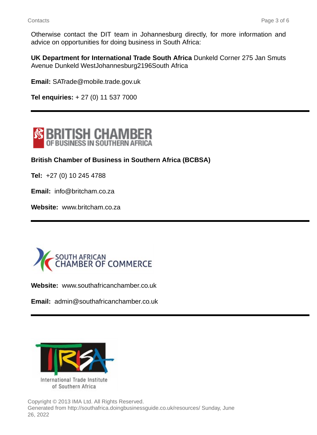Otherwise contact the DIT team in Johannesburg directly, for more information and advice on opportunities for doing business in South Africa:

**UK Department for International Trade South Africa** Dunkeld Corner 275 Jan Smuts Avenue Dunkeld WestJohannesburg2196South Africa

**Email:** SATrade@mobile.trade.gov.uk

**Tel enquiries:** + 27 (0) 11 537 7000



### **British Chamber of Business in Southern Africa (BCBSA)**

**Tel:** +27 (0) 10 245 4788

**Email:** info@britcham.co.za

**Website:** www.britcham.co.za



**Website:** www.southafricanchamber.co.uk

**Email:** admin@southafricanchamber.co.uk



Copyright © 2013 IMA Ltd. All Rights Reserved. Generated from http://southafrica.doingbusinessguide.co.uk/resources/ Sunday, June 26, 2022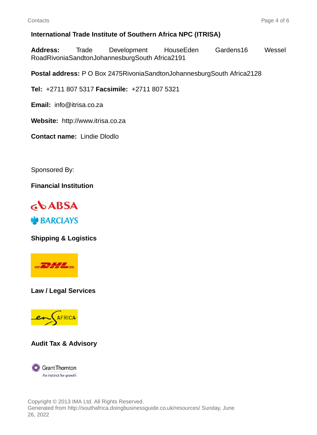#### **International Trade Institute of Southern Africa NPC (ITRISA)**

**Address:** Trade Development HouseEden Gardens16 Wessel RoadRivoniaSandtonJohannesburgSouth Africa2191

**Postal address:** P O Box 2475RivoniaSandtonJohannesburgSouth Africa2128

**Tel:** +2711 807 5317 **Facsimile:** +2711 807 5321

**Email:** info@itrisa.co.za

**Website:** http://www.itrisa.co.za

**Contact name:** Lindie Dlodlo

Sponsored By:

**Financial Institution**



**Shipping & Logistics**



**Law / Legal Services**



#### **Audit Tax & Advisory**

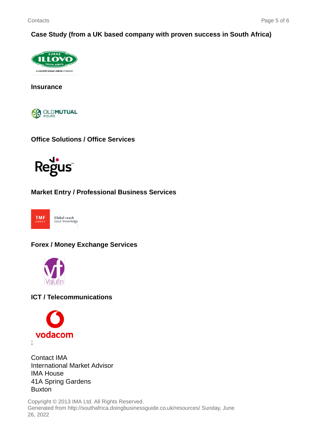**Case Study (from a UK based company with proven success in South Africa)**



**Insurance**



**Office Solutions / Office Services**



**Market Entry / Professional Business Services**



**Forex / Money Exchange Services**



## **ICT / Telecommunications**



Contact IMA International Market Advisor IMA House 41A Spring Gardens Buxton

Copyright © 2013 IMA Ltd. All Rights Reserved. Generated from http://southafrica.doingbusinessguide.co.uk/resources/ Sunday, June 26, 2022